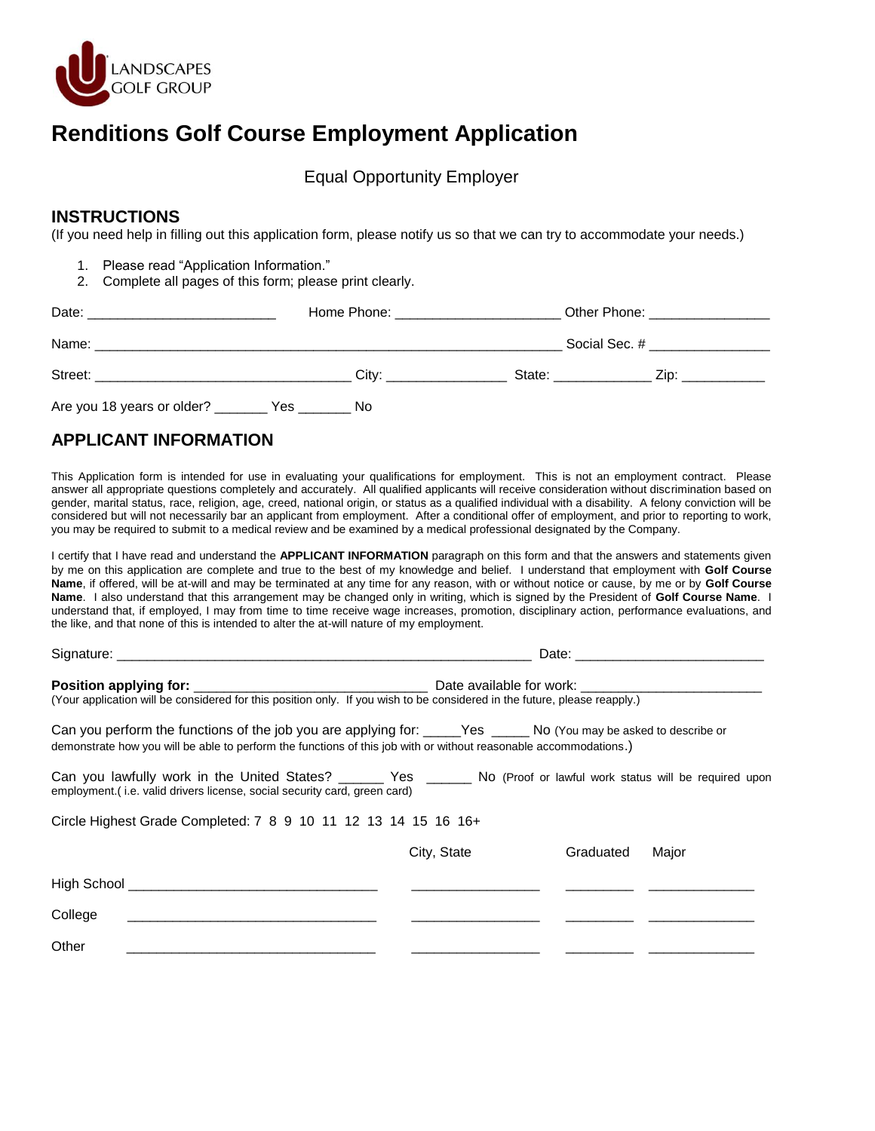

# **Renditions Golf Course Employment Application**

Equal Opportunity Employer

#### **INSTRUCTIONS**

(If you need help in filling out this application form, please notify us so that we can try to accommodate your needs.)

- 1. Please read "Application Information."
- 2. Complete all pages of this form; please print clearly.

| Date:                                          | Home Phone: New York 1997 |                                                                                     | Other Phone: __________________                                                                                                                                                                                                          |  |
|------------------------------------------------|---------------------------|-------------------------------------------------------------------------------------|------------------------------------------------------------------------------------------------------------------------------------------------------------------------------------------------------------------------------------------|--|
| Name:                                          |                           | Social Sec. # $\frac{1}{2}$ Social Sec. # $\frac{1}{2}$ Social Sec. # $\frac{1}{2}$ |                                                                                                                                                                                                                                          |  |
| Street:                                        | City:                     |                                                                                     | State: will be a state of the state of the state of the state of the state of the state of the state of the state of the state of the state of the state of the state of the state of the state of the state of the state of t<br>Zip: T |  |
| Are you 18 years or older? _________ Yes _____ | No                        |                                                                                     |                                                                                                                                                                                                                                          |  |

## **APPLICANT INFORMATION**

This Application form is intended for use in evaluating your qualifications for employment. This is not an employment contract. Please answer all appropriate questions completely and accurately. All qualified applicants will receive consideration without discrimination based on gender, marital status, race, religion, age, creed, national origin, or status as a qualified individual with a disability. A felony conviction will be considered but will not necessarily bar an applicant from employment. After a conditional offer of employment, and prior to reporting to work, you may be required to submit to a medical review and be examined by a medical professional designated by the Company.

I certify that I have read and understand the **APPLICANT INFORMATION** paragraph on this form and that the answers and statements given by me on this application are complete and true to the best of my knowledge and belief. I understand that employment with **Golf Course Name**, if offered, will be at-will and may be terminated at any time for any reason, with or without notice or cause, by me or by **Golf Course Name**. I also understand that this arrangement may be changed only in writing, which is signed by the President of **Golf Course Name**. I understand that, if employed, I may from time to time receive wage increases, promotion, disciplinary action, performance evaluations, and the like, and that none of this is intended to alter the at-will nature of my employment.

| Can you perform the functions of the job you are applying for: _____Yes ______No (You may be asked to describe or<br>demonstrate how you will be able to perform the functions of this job with or without reasonable accommodations.) |             |           |       |  |
|----------------------------------------------------------------------------------------------------------------------------------------------------------------------------------------------------------------------------------------|-------------|-----------|-------|--|
| Can you lawfully work in the United States? _______ Yes ______ No (Proof or lawful work status will be required upon<br>employment.(i.e. valid drivers license, social security card, green card)                                      |             |           |       |  |
| Circle Highest Grade Completed: 7 8 9 10 11 12 13 14 15 16 16+                                                                                                                                                                         |             |           |       |  |
|                                                                                                                                                                                                                                        | City, State | Graduated | Major |  |
|                                                                                                                                                                                                                                        |             |           |       |  |
| College                                                                                                                                                                                                                                |             |           |       |  |
| Other                                                                                                                                                                                                                                  |             |           |       |  |